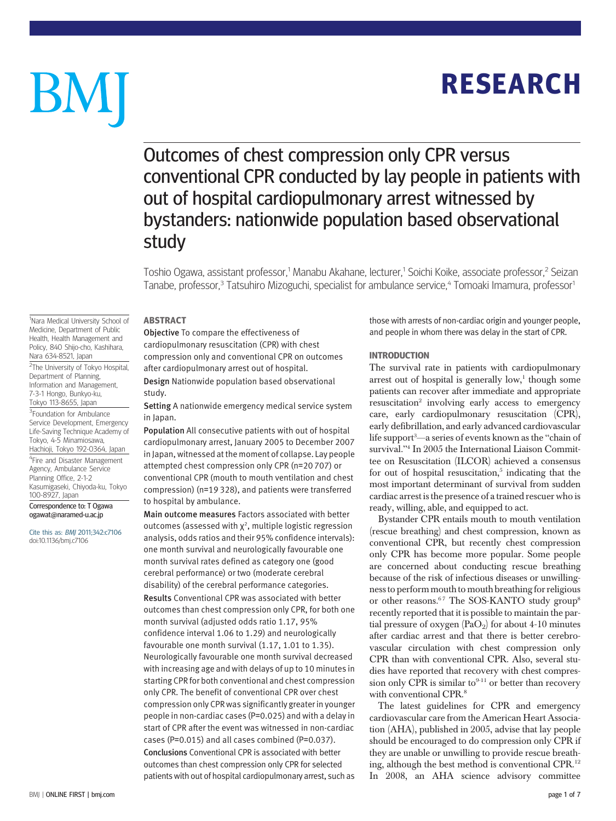**RESEARCH** RESEARCH

# BM

# Outcomes of chest compression only CPR versus conventional CPR conducted by lay people in patients with out of hospital cardiopulmonary arrest witnessed by bystanders: nationwide population based observational study

Toshio Ogawa, assistant professor,<sup>1</sup> Manabu Akahane, lecturer,<sup>1</sup> Soichi Koike, associate professor,<sup>2</sup> Seizan Tanabe, professor,<sup>3</sup> Tatsuhiro Mizoguchi, specialist for ambulance service,<sup>4</sup> Tomoaki Imamura, professor<sup>1</sup>

----------<br>Objective To compare the effectiveness of cardiopulmonary resuscitation (CPR) with chest compression only and conventional CPR on outcomes after cardiopulmonary arrest out of hospital.

Design Nationwide population based observational study.

Setting A nationwide emergency medical service system in Japan.

Population All consecutive patients with out of hospital cardiopulmonary arrest, January 2005 to December 2007 in Japan, witnessed at the moment of collapse. Lay people attempted chest compression only CPR (n=20 707) or conventional CPR (mouth to mouth ventilation and chest compression) (n=19 328), and patients were transferred to hospital by ambulance.

Main outcome measures Factors associated with better outcomes (assessed with  $\chi^2$ , multiple logistic regression analysis, odds ratios and their 95% confidence intervals): one month survival and neurologically favourable one month survival rates defined as category one (good cerebral performance) or two (moderate cerebral disability) of the cerebral performance categories. Results Conventional CPR was associated with better outcomes than chest compression only CPR, for both one month survival (adjusted odds ratio 1.17, 95% confidence interval 1.06 to 1.29) and neurologically favourable one month survival (1.17, 1.01 to 1.35). Neurologically favourable one month survival decreased with increasing age and with delays of up to 10 minutes in starting CPR for both conventional and chest compression only CPR. The benefit of conventional CPR over chest compression only CPR was significantly greater in younger people in non-cardiac cases (P=0.025) and with a delay in start of CPR after the event was witnessed in non-cardiac cases (P=0.015) and all cases combined (P=0.037). Conclusions Conventional CPR is associated with better outcomes than chest compression only CPR for selected patients with out of hospital cardiopulmonary arrest, such as those with arrests of non-cardiac origin and younger people, and people in whom there was delay in the start of CPR.

# **INTRODUCTION**

The survival rate in patients with cardiopulmonary arrest out of hospital is generally  $low$ <sup>1</sup>, though some patients can recover after immediate and appropriate resuscitation<sup>2</sup> involving early access to emergency care, early cardiopulmonary resuscitation (CPR), early defibrillation, and early advanced cardiovascular life support $^3$ —a series of events known as the ''chain of survival."<sup>4</sup> In 2005 the International Liaison Committee on Resuscitation (ILCOR) achieved a consensus for out of hospital resuscitation, $5$  indicating that the most important determinant of survival from sudden cardiac arrest is the presence of a trained rescuer who is ready, willing, able, and equipped to act.

Bystander CPR entails mouth to mouth ventilation (rescue breathing) and chest compression, known as conventional CPR, but recently chest compression only CPR has become more popular. Some people are concerned about conducting rescue breathing because of the risk of infectious diseases or unwillingness to perform mouth to mouth breathing for religious or other reasons.<sup>67</sup> The SOS-KANTO study group<sup>8</sup> recently reported that it is possible to maintain the partial pressure of oxygen  $(PaO<sub>2</sub>)$  for about 4-10 minutes after cardiac arrest and that there is better cerebrovascular circulation with chest compression only CPR than with conventional CPR. Also, several studies have reported that recovery with chest compression only CPR is similar to<sup>9-11</sup> or better than recovery with conventional CPR.<sup>8</sup>

The latest guidelines for CPR and emergency cardiovascular care from the American Heart Association (AHA), published in 2005, advise that lay people should be encouraged to do compression only CPR if they are unable or unwilling to provide rescue breathing, although the best method is conventional CPR.<sup>12</sup> In 2008, an AHA science advisory committee

<sup>1</sup>Nara Medical University School of Medicine, Department of Public Health, Health Management and Policy, 840 Shijo-cho, Kashihara, Nara 634-8521, Japan

<sup>2</sup>The University of Tokyo Hospital, Department of Planning, Information and Management, 7-3-1 Hongo, Bunkyo-ku, Tokyo 113-8655, Japan <sup>3</sup> Foundation for Ambulance Service Development, Emergency Life-Saving Technique Academy of Tokyo, 4-5 Minamiosawa, Hachioji, Tokyo 192-0364, Japan

<sup>4</sup>Fire and Disaster Management Agency, Ambulance Service Planning Office, 2-1-2 Kasumigaseki, Chiyoda-ku, Tokyo 100-8927, Japan

Correspondence to: T Ogawa ogawat@naramed-u.ac.jp

Cite this as: BMJ 2011;342:c7106 doi:10.1136/bmj.c7106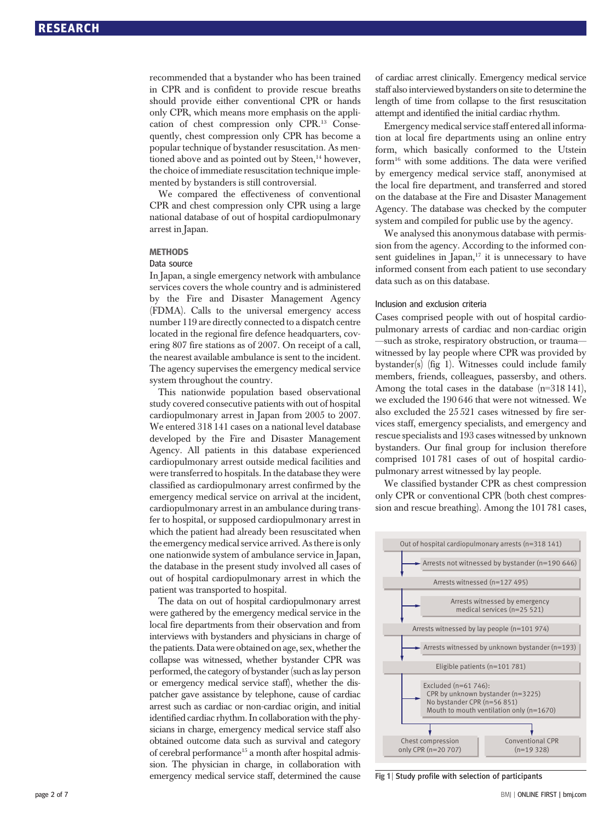recommended that a bystander who has been trained in CPR and is confident to provide rescue breaths should provide either conventional CPR or hands only CPR, which means more emphasis on the application of chest compression only CPR.13 Consequently, chest compression only CPR has become a popular technique of bystander resuscitation. As mentioned above and as pointed out by Steen,<sup>14</sup> however, the choice of immediate resuscitation technique implemented by bystanders is still controversial.

We compared the effectiveness of conventional CPR and chest compression only CPR using a large national database of out of hospital cardiopulmonary arrest in Japan.

# Data source

In Japan, a single emergency network with ambulance services covers the whole country and is administered by the Fire and Disaster Management Agency (FDMA). Calls to the universal emergency access number 119 are directly connected to a dispatch centre located in the regional fire defence headquarters, covering 807 fire stations as of 2007. On receipt of a call, the nearest available ambulance is sent to the incident. The agency supervises the emergency medical service system throughout the country.

This nationwide population based observational study covered consecutive patients with out of hospital cardiopulmonary arrest in Japan from 2005 to 2007. We entered 318 141 cases on a national level database developed by the Fire and Disaster Management Agency. All patients in this database experienced cardiopulmonary arrest outside medical facilities and were transferred to hospitals. In the database they were classified as cardiopulmonary arrest confirmed by the emergency medical service on arrival at the incident, cardiopulmonary arrest in an ambulance during transfer to hospital, or supposed cardiopulmonary arrest in which the patient had already been resuscitated when the emergency medical service arrived. As there is only one nationwide system of ambulance service in Japan, the database in the present study involved all cases of out of hospital cardiopulmonary arrest in which the patient was transported to hospital.

The data on out of hospital cardiopulmonary arrest were gathered by the emergency medical service in the local fire departments from their observation and from interviews with bystanders and physicians in charge of the patients. Data were obtained on age, sex, whether the collapse was witnessed, whether bystander CPR was performed, the category of bystander (such as lay person or emergency medical service staff), whether the dispatcher gave assistance by telephone, cause of cardiac arrest such as cardiac or non-cardiac origin, and initial identified cardiac rhythm. In collaboration with the physicians in charge, emergency medical service staff also obtained outcome data such as survival and category of cerebral performance<sup>15</sup> a month after hospital admission. The physician in charge, in collaboration with emergency medical service staff, determined the cause of cardiac arrest clinically. Emergency medical service staff also interviewed bystanders on site to determine the length of time from collapse to the first resuscitation attempt and identified the initial cardiac rhythm.

Emergency medical service staff entered all information at local fire departments using an online entry form, which basically conformed to the Utstein form<sup>16</sup> with some additions. The data were verified by emergency medical service staff, anonymised at the local fire department, and transferred and stored on the database at the Fire and Disaster Management Agency. The database was checked by the computer system and compiled for public use by the agency.

We analysed this anonymous database with permission from the agency. According to the informed consent guidelines in Japan, $17$  it is unnecessary to have informed consent from each patient to use secondary data such as on this database.

# Inclusion and exclusion criteria

Cases comprised people with out of hospital cardiopulmonary arrests of cardiac and non-cardiac origin —such as stroke, respiratory obstruction, or trauma witnessed by lay people where CPR was provided by bystander(s) (fig 1). Witnesses could include family members, friends, colleagues, passersby, and others. Among the total cases in the database (n=318 141), we excluded the 190 646 that were not witnessed. We also excluded the 25 521 cases witnessed by fire services staff, emergency specialists, and emergency and rescue specialists and 193 cases witnessed by unknown bystanders. Our final group for inclusion therefore comprised 101 781 cases of out of hospital cardiopulmonary arrest witnessed by lay people.

We classified bystander CPR as chest compression only CPR or conventional CPR (both chest compression and rescue breathing). Among the 101 781 cases,



Fig 1 | Study profile with selection of participants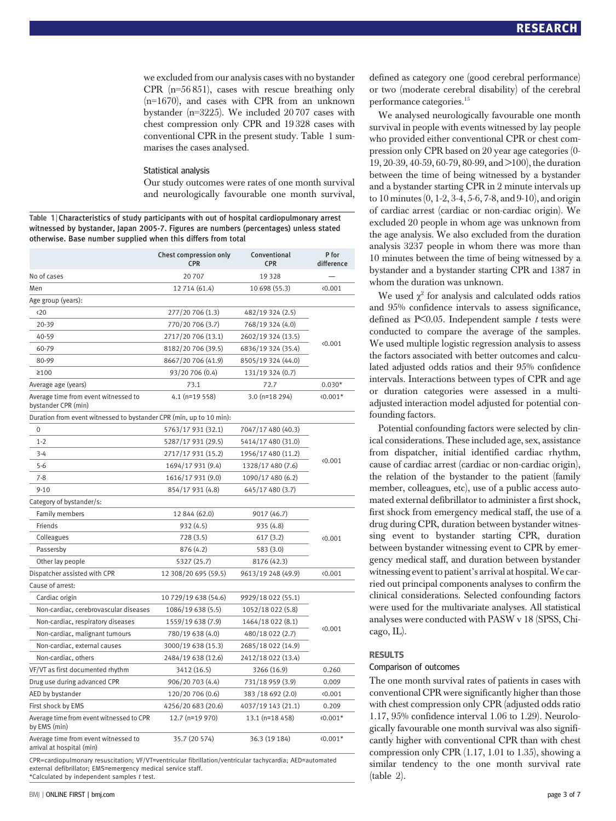we excluded from our analysis cases with no bystander CPR (n=56 851), cases with rescue breathing only (n=1670), and cases with CPR from an unknown bystander (n=3225). We included 20 707 cases with chest compression only CPR and 19 328 cases with conventional CPR in the present study. Table 1 summarises the cases analysed.

# Statistical analysis

Our study outcomes were rates of one month survival and neurologically favourable one month survival,

Table 1 | Characteristics of study participants with out of hospital cardiopulmonary arrest witnessed by bystander, Japan 2005-7. Figures are numbers (percentages) unless stated otherwise. Base number supplied when this differs from total

|                                                                     | Chest compression only<br><b>CPR</b> | Conventional<br><b>CPR</b> | P for<br>difference |  |  |  |
|---------------------------------------------------------------------|--------------------------------------|----------------------------|---------------------|--|--|--|
| No of cases                                                         | 20707                                | 19328                      |                     |  |  |  |
| Men                                                                 | 12 714 (61.4)                        | 10 698 (55.3)              | (0.001)             |  |  |  |
| Age group (years):                                                  |                                      |                            |                     |  |  |  |
| $20$                                                                | 277/20 706 (1.3)                     | 482/19 324 (2.5)           |                     |  |  |  |
| 20-39                                                               | 770/20 706 (3.7)                     | 768/19 324 (4.0)           |                     |  |  |  |
| 40-59                                                               | 2717/20 706 (13.1)                   | 2602/19 324 (13.5)         |                     |  |  |  |
| 60-79                                                               | 8182/20 706 (39.5)                   | 6836/19 324 (35.4)         | (0.001)             |  |  |  |
| 80-99                                                               | 8667/20 706 (41.9)                   | 8505/19 324 (44.0)         |                     |  |  |  |
| $\geq 100$                                                          | 93/20 706 (0.4)                      | 131/19 324 (0.7)           |                     |  |  |  |
| Average age (years)                                                 | 73.1                                 | 72.7                       | $0.030*$            |  |  |  |
| Average time from event witnessed to<br>bystander CPR (min)         | $4.1$ (n=19 558)                     | 3.0 (n=18 294)             | $\langle 0.001*$    |  |  |  |
| Duration from event witnessed to bystander CPR (min, up to 10 min): |                                      |                            |                     |  |  |  |
| $\mathbf 0$                                                         | 5763/17 931 (32.1)                   | 7047/17 480 (40.3)         |                     |  |  |  |
| $1 - 2$                                                             | 5287/17 931 (29.5)                   | 5414/17 480 (31.0)         |                     |  |  |  |
| $3 - 4$                                                             | 2717/17 931 (15.2)                   | 1956/17 480 (11.2)         | (0.001)             |  |  |  |
| $5 - 6$                                                             | 1694/17 931 (9.4)                    | 1328/17 480 (7.6)          |                     |  |  |  |
| $7 - 8$                                                             | 1616/17 931 (9.0)                    | 1090/17 480 (6.2)          |                     |  |  |  |
| $9 - 10$                                                            | 854/17 931 (4.8)                     | 645/17 480 (3.7)           |                     |  |  |  |
| Category of bystander/s:                                            |                                      |                            |                     |  |  |  |
| Family members                                                      | 12 844 (62.0)                        | 9017 (46.7)                |                     |  |  |  |
| Friends                                                             | 932 (4.5)                            | 935 (4.8)                  |                     |  |  |  |
| Colleagues                                                          | 728(3.5)                             | 617(3.2)                   | 0.001               |  |  |  |
| Passersby                                                           | 876 (4.2)                            | 583 (3.0)                  |                     |  |  |  |
| Other lay people                                                    | 5327 (25.7)                          | 8176 (42.3)                |                     |  |  |  |
| Dispatcher assisted with CPR                                        | 12 308/20 695 (59.5)                 | 9613/19 248 (49.9)         | 0.001               |  |  |  |
| Cause of arrest:                                                    |                                      |                            |                     |  |  |  |
| Cardiac origin                                                      | 10 729/19 638 (54.6)                 | 9929/18 022 (55.1)         |                     |  |  |  |
| Non-cardiac, cerebrovascular diseases                               | 1086/19 638 (5.5)                    | 1052/18 022 (5.8)          |                     |  |  |  |
| Non-cardiac, respiratory diseases                                   | 1559/19 638 (7.9)                    | 1464/18 022 (8.1)          | 0.001               |  |  |  |
| Non-cardiac, malignant tumours                                      | 780/19 638 (4.0)                     | 480/18 022 (2.7)           |                     |  |  |  |
| Non-cardiac, external causes                                        | 3000/19 638 (15.3)                   | 2685/18 022 (14.9)         |                     |  |  |  |
| Non-cardiac, others                                                 | 2484/19 638 (12.6)                   | 2412/18 022 (13.4)         |                     |  |  |  |
| VF/VT as first documented rhythm                                    | 3412 (16.5)                          | 3266 (16.9)                | 0.260               |  |  |  |
| Drug use during advanced CPR                                        | 906/20 703 (4.4)                     | 731/18 959 (3.9)           | 0.009               |  |  |  |
| AED by bystander                                                    | 120/20 706 (0.6)                     | 383 / 18 692 (2.0)         | (0.001)             |  |  |  |
| First shock by EMS                                                  | 4256/20 683 (20.6)                   | 4037/19 143 (21.1)         | 0.209               |  |  |  |
| Average time from event witnessed to CPR<br>by EMS (min)            | 12.7 (n=19 970)                      | 13.1 (n=18 458)            | $0.001*$            |  |  |  |
| Average time from event witnessed to<br>arrival at hospital (min)   | 35.7 (20 574)                        | 36.3 (19 184)              | $\langle 0.001*$    |  |  |  |

CPR=cardiopulmonary resuscitation; VF/VT=ventricular fibrillation/ventricular tachycardia; AED=automated external defibrillator; EMS=emergency medical service staff. \*Calculated by independent samples t test.

We analysed neurologically favourable one month survival in people with events witnessed by lay people who provided either conventional CPR or chest compression only CPR based on 20 year age categories (0- 19, 20-39, 40-59, 60-79, 80-99, and >100), the duration between the time of being witnessed by a bystander and a bystander starting CPR in 2 minute intervals up to 10 minutes (0, 1-2, 3-4, 5-6, 7-8, and 9-10), and origin of cardiac arrest (cardiac or non-cardiac origin). We excluded 20 people in whom age was unknown from the age analysis. We also excluded from the duration analysis 3237 people in whom there was more than 10 minutes between the time of being witnessed by a bystander and a bystander starting CPR and 1387 in whom the duration was unknown.

We used  $\chi^2$  for analysis and calculated odds ratios and 95% confidence intervals to assess significance, defined as  $P \leq 0.05$ . Independent sample t tests were conducted to compare the average of the samples. We used multiple logistic regression analysis to assess the factors associated with better outcomes and calculated adjusted odds ratios and their 95% confidence intervals. Interactions between types of CPR and age or duration categories were assessed in a multiadjusted interaction model adjusted for potential confounding factors.

Potential confounding factors were selected by clinical considerations. These included age, sex, assistance from dispatcher, initial identified cardiac rhythm, cause of cardiac arrest (cardiac or non-cardiac origin), the relation of the bystander to the patient (family member, colleagues, etc), use of a public access automated external defibrillator to administer a first shock, first shock from emergency medical staff, the use of a drug during CPR, duration between bystander witnessing event to bystander starting CPR, duration between bystander witnessing event to CPR by emergency medical staff, and duration between bystander witnessing event to patient's arrival at hospital.We carried out principal components analyses to confirm the clinical considerations. Selected confounding factors were used for the multivariate analyses. All statistical analyses were conducted with PASW v 18 (SPSS, Chicago, IL).

# **RESULTS**

# Comparison of outcomes

The one month survival rates of patients in cases with conventional CPR were significantly higher than those with chest compression only CPR (adjusted odds ratio 1.17, 95% confidence interval 1.06 to 1.29). Neurologically favourable one month survival was also significantly higher with conventional CPR than with chest compression only CPR (1.17, 1.01 to 1.35), showing a similar tendency to the one month survival rate (table 2).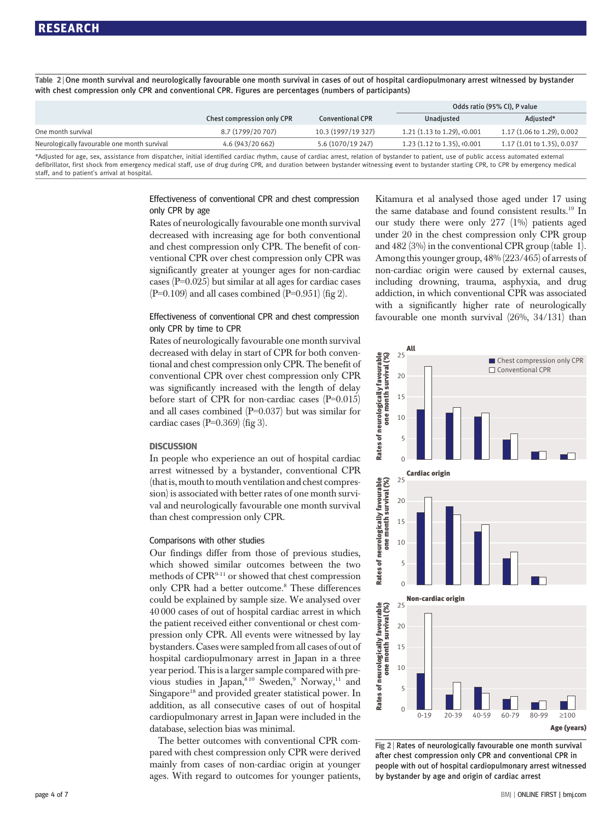Table 2 <sup>|</sup> One month survival and neurologically favourable one month survival in cases of out of hospital cardiopulmonary arrest witnessed by bystander with chest compression only CPR and conventional CPR. Figures are percentages (numbers of participants)

|                                                                                                                                                                                                                                |                            |                         | Odds ratio (95% CI), P value                             |                            |  |
|--------------------------------------------------------------------------------------------------------------------------------------------------------------------------------------------------------------------------------|----------------------------|-------------------------|----------------------------------------------------------|----------------------------|--|
|                                                                                                                                                                                                                                | Chest compression only CPR | <b>Conventional CPR</b> | Unadiusted                                               | Adiusted*                  |  |
| One month survival                                                                                                                                                                                                             | 8.7 (1799/20 707)          | 10.3 (1997/19 327)      | 1.21 $(1.13 \text{ to } 1.29)$ , $\langle 0.001 \rangle$ | 1.17 (1.06 to 1.29), 0.002 |  |
| Neurologically favourable one month survival                                                                                                                                                                                   | 4.6 (943/20 662)           | 5.6 (1070/19 247)       | 1.23 (1.12 to 1.35), <0.001                              | 1.17 (1.01 to 1.35), 0.037 |  |
| *Adhield for the controlled from distribution initial india dealer and of coalist cancel additional dealer addition of coldinate concernment and capacity of the control of the concernment of the control of the control of t |                            |                         |                                                          |                            |  |

\*Adjusted for age, sex, assistance from dispatcher, initial identified cardiac rhythm, cause of cardiac arrest, relation of bystander to patient, use of public access automated external defibrillator, first shock from emergency medical staff, use of drug during CPR, and duration between bystander witnessing event to bystander starting CPR, to CPR by emergency medical staff, and to patient's arrival at hospital.

# Effectiveness of conventional CPR and chest compression only CPR by age

Rates of neurologically favourable one month survival decreased with increasing age for both conventional and chest compression only CPR. The benefit of conventional CPR over chest compression only CPR was significantly greater at younger ages for non-cardiac cases (P=0.025) but similar at all ages for cardiac cases  $(P=0.109)$  and all cases combined  $(P=0.951)$  (fig 2).

# Effectiveness of conventional CPR and chest compression only CPR by time to CPR

Rates of neurologically favourable one month survival decreased with delay in start of CPR for both conventional and chest compression only CPR. The benefit of conventional CPR over chest compression only CPR was significantly increased with the length of delay before start of CPR for non-cardiac cases (P=0.015) and all cases combined (P=0.037) but was similar for cardiac cases  $(P=0.369)$  (fig 3).

In people who experience an out of hospital cardiac arrest witnessed by a bystander, conventional CPR (that is, mouth to mouth ventilation and chest compression) is associated with better rates of one month survival and neurologically favourable one month survival than chest compression only CPR.

## Comparisons with other studies

Our findings differ from those of previous studies, which showed similar outcomes between the two methods of CPR9-11 or showed that chest compression only CPR had a better outcome.<sup>8</sup> These differences could be explained by sample size. We analysed over 40 000 cases of out of hospital cardiac arrest in which the patient received either conventional or chest compression only CPR. All events were witnessed by lay bystanders. Cases were sampled from all cases of out of hospital cardiopulmonary arrest in Japan in a three year period. This is a larger sample compared with previous studies in Japan,<sup>810</sup> Sweden,<sup>9</sup> Norway,<sup>11</sup> and Singapore<sup>18</sup> and provided greater statistical power. In addition, as all consecutive cases of out of hospital cardiopulmonary arrest in Japan were included in the database, selection bias was minimal.

The better outcomes with conventional CPR compared with chest compression only CPR were derived mainly from cases of non-cardiac origin at younger ages. With regard to outcomes for younger patients, Kitamura et al analysed those aged under 17 using the same database and found consistent results.19 In our study there were only 277 (1%) patients aged under 20 in the chest compression only CPR group and 482 (3%) in the conventional CPR group (table 1). Among this younger group, 48% (223/465) of arrests of non-cardiac origin were caused by external causes, including drowning, trauma, asphyxia, and drug addiction, in which conventional CPR was associated with a significantly higher rate of neurologically favourable one month survival (26%, 34/131) than



Fig 2 | Rates of neurologically favourable one month survival after chest compression only CPR and conventional CPR in people with out of hospital cardiopulmonary arrest witnessed by bystander by age and origin of cardiac arrest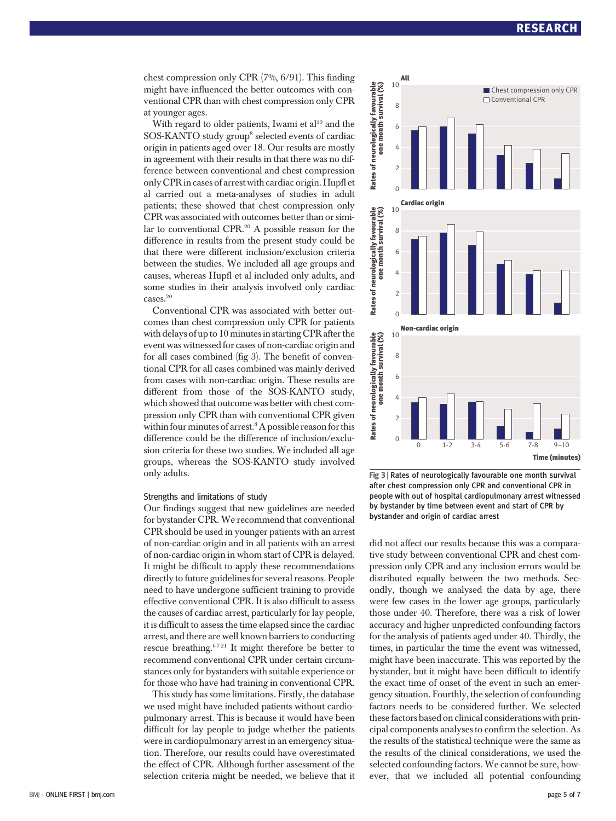chest compression only CPR (7%, 6/91). This finding might have influenced the better outcomes with conventional CPR than with chest compression only CPR at younger ages.

With regard to older patients, Iwami et  $al^{10}$  and the SOS-KANTO study group<sup>8</sup> selected events of cardiac origin in patients aged over 18. Our results are mostly in agreement with their results in that there was no difference between conventional and chest compression only CPR in cases of arrest with cardiac origin. Hupfl et al carried out a meta-analyses of studies in adult patients; these showed that chest compression only CPR was associated with outcomes better than or similar to conventional CPR.<sup>20</sup> A possible reason for the difference in results from the present study could be that there were different inclusion/exclusion criteria between the studies. We included all age groups and causes, whereas Hupfl et al included only adults, and some studies in their analysis involved only cardiac cases.20

Conventional CPR was associated with better outcomes than chest compression only CPR for patients with delays of up to 10 minutes in starting CPR after the event was witnessed for cases of non-cardiac origin and for all cases combined (fig 3). The benefit of conventional CPR for all cases combined was mainly derived from cases with non-cardiac origin. These results are different from those of the SOS-KANTO study, which showed that outcome was better with chest compression only CPR than with conventional CPR given within four minutes of arrest.<sup>8</sup> A possible reason for this difference could be the difference of inclusion/exclusion criteria for these two studies. We included all age groups, whereas the SOS-KANTO study involved only adults.

## Strengths and limitations of study

Our findings suggest that new guidelines are needed for bystander CPR. We recommend that conventional CPR should be used in younger patients with an arrest of non-cardiac origin and in all patients with an arrest of non-cardiac origin in whom start of CPR is delayed. It might be difficult to apply these recommendations directly to future guidelines for several reasons. People need to have undergone sufficient training to provide effective conventional CPR. It is also difficult to assess the causes of cardiac arrest, particularly for lay people, it is difficult to assess the time elapsed since the cardiac arrest, and there are well known barriers to conducting rescue breathing.<sup>6721</sup> It might therefore be better to recommend conventional CPR under certain circumstances only for bystanders with suitable experience or for those who have had training in conventional CPR.

This study has some limitations. Firstly, the database we used might have included patients without cardiopulmonary arrest. This is because it would have been difficult for lay people to judge whether the patients were in cardiopulmonary arrest in an emergency situation. Therefore, our results could have overestimated the effect of CPR. Although further assessment of the selection criteria might be needed, we believe that it



Fig 3 | Rates of neurologically favourable one month survival after chest compression only CPR and conventional CPR in people with out of hospital cardiopulmonary arrest witnessed by bystander by time between event and start of CPR by bystander and origin of cardiac arrest

did not affect our results because this was a comparative study between conventional CPR and chest compression only CPR and any inclusion errors would be distributed equally between the two methods. Secondly, though we analysed the data by age, there were few cases in the lower age groups, particularly those under 40. Therefore, there was a risk of lower accuracy and higher unpredicted confounding factors for the analysis of patients aged under 40. Thirdly, the times, in particular the time the event was witnessed, might have been inaccurate. This was reported by the bystander, but it might have been difficult to identify the exact time of onset of the event in such an emergency situation. Fourthly, the selection of confounding factors needs to be considered further. We selected these factors based on clinical considerations with principal components analyses to confirm the selection. As the results of the statistical technique were the same as the results of the clinical considerations, we used the selected confounding factors. We cannot be sure, however, that we included all potential confounding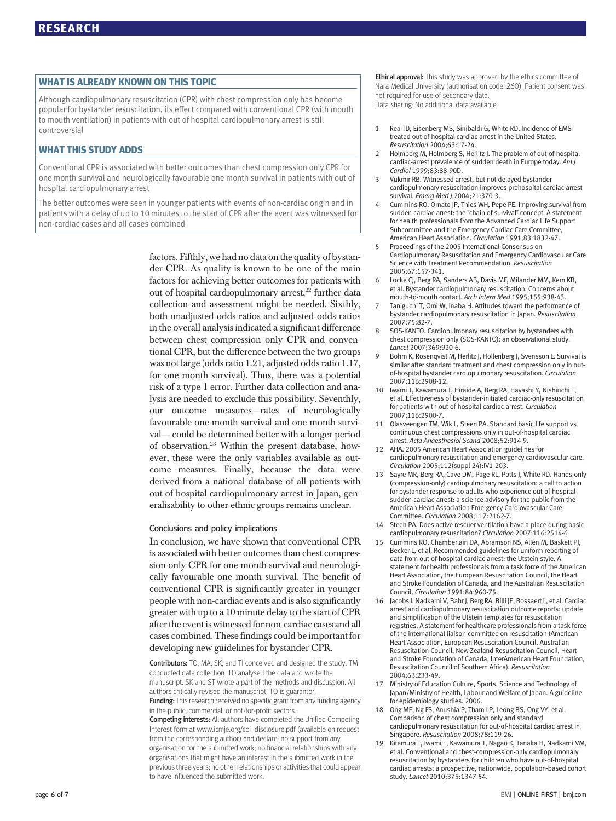ended and this metal<br>Although cardiopulmonary resuscitation (CPR) with chest compression only has become popular for bystander resuscitation, its effect compared with conventional CPR (with mouth to mouth ventilation) in patients with out of hospital cardiopulmonary arrest is still controversial

# **WHAT THIS STUDY ADDS**

WHAT THIS STUDY ADDS Conventional CPR is associated with better outcomes than chest compression only CPR for one month survival and neurologically favourable one month survival in patients with out of hospital cardiopulmonary arrest

The better outcomes were seen in younger patients with events of non-cardiac origin and in patients with a delay of up to 10 minutes to the start of CPR after the event was witnessed for non-cardiac cases and all cases combined

> factors. Fifthly, we had no data on the quality of bystander CPR. As quality is known to be one of the main factors for achieving better outcomes for patients with out of hospital cardiopulmonary arrest, $^{22}$  further data collection and assessment might be needed. Sixthly, both unadjusted odds ratios and adjusted odds ratios in the overall analysis indicated a significant difference between chest compression only CPR and conventional CPR, but the difference between the two groups was not large (odds ratio 1.21, adjusted odds ratio 1.17, for one month survival). Thus, there was a potential risk of a type 1 error. Further data collection and analysis are needed to exclude this possibility. Seventhly, our outcome measures—rates of neurologically favourable one month survival and one month survival— could be determined better with a longer period of observation.23 Within the present database, however, these were the only variables available as outcome measures. Finally, because the data were derived from a national database of all patients with out of hospital cardiopulmonary arrest in Japan, generalisability to other ethnic groups remains unclear.

# Conclusions and policy implications

In conclusion, we have shown that conventional CPR is associated with better outcomes than chest compression only CPR for one month survival and neurologically favourable one month survival. The benefit of conventional CPR is significantly greater in younger people with non-cardiac events and is also significantly greater with up to a 10 minute delay to the start of CPR after the event is witnessed for non-cardiac cases and all cases combined. These findings could be important for developing new guidelines for bystander CPR.

Contributors: TO, MA, SK, and TI conceived and designed the study. TM conducted data collection. TO analysed the data and wrote the manuscript. SK and ST wrote a part of the methods and discussion. All authors critically revised the manuscript. TO is guarantor. Funding: This research received no specific grant from any funding agency in the public, commercial, or not-for-profit sectors.

Competing interests: All authors have completed the Unified Competing Interest form at www.icmje.org/coi\_disclosure.pdf (available on request from the corresponding author) and declare: no support from any organisation for the submitted work; no financial relationships with any organisations that might have an interest in the submitted work in the previous three years; no other relationships or activities that could appear to have influenced the submitted work.

Ethical approval: This study was approved by the ethics committee of Nara Medical University (authorisation code: 260). Patient consent was not required for use of secondary data. Data sharing: No additional data available.

- Rea TD, Eisenberg MS, Sinibaldi G, White RD. Incidence of EMStreated out-of-hospital cardiac arrest in the United States. Resuscitation 2004;63:17-24.
- 2 Holmberg M, Holmberg S, Herlitz I. The problem of out-of-hospital cardiac-arrest prevalence of sudden death in Europe today. Am J Cardiol 1999;83:88-90D.
- 3 Vukmir RB. Witnessed arrest, but not delayed bystander cardiopulmonary resuscitation improves prehospital cardiac arrest survival. Emerg Med J 2004;21:370-3.
- 4 Cummins RO, Ornato JP, Thies WH, Pepe PE. Improving survival from sudden cardiac arrest: the "chain of survival" concept. A statement for health professionals from the Advanced Cardiac Life Support Subcommittee and the Emergency Cardiac Care Committee, American Heart Association. Circulation 1991;83:1832-47.
- 5 Proceedings of the 2005 International Consensus on Cardiopulmonary Resuscitation and Emergency Cardiovascular Care Science with Treatment Recommendation. Resuscitation 2005;67:157-341.
- 6 Locke CJ, Berg RA, Sanders AB, Davis MF, Milander MM, Kern KB, et al. Bystander cardiopulmonary resuscitation. Concerns about mouth-to-mouth contact. Arch Intern Med 1995;155:938-43.
- 7 Taniguchi T, Omi W, Inaba H. Attitudes toward the performance of bystander cardiopulmonary resuscitation in Japan. Resuscitation 2007;75:82-7.
- 8 SOS-KANTO. Cardiopulmonary resuscitation by bystanders with chest compression only (SOS-KANTO): an observational study. Lancet 2007;369:920-6.
- 9 Bohm K, Rosenqvist M, Herlitz J, Hollenberg J, Svensson L. Survival is similar after standard treatment and chest compression only in outof-hospital bystander cardiopulmonary resuscitation. Circulation 2007;116:2908-12.
- 10 Iwami T, Kawamura T, Hiraide A, Berg RA, Hayashi Y, Nishiuchi T, et al. Effectiveness of bystander-initiated cardiac-only resuscitation for patients with out-of-hospital cardiac arrest. Circulation 2007;116:2900-7.
- 0lasveengen TM, Wik L, Steen PA. Standard basic life support vs continuous chest compressions only in out-of-hospital cardiac arrest. Acta Anaesthesiol Scand 2008;52:914-9.
- 12 AHA. 2005 American Heart Association guidelines for cardiopulmonary resuscitation and emergency cardiovascular care. Circulation 2005;112(suppl 24):IV1-203.
- 13 Sayre MR, Berg RA, Cave DM, Page RL, Potts J, White RD. Hands-only (compression-only) cardiopulmonary resuscitation: a call to action for bystander response to adults who experience out-of-hospital sudden cardiac arrest: a science advisory for the public from the American Heart Association Emergency Cardiovascular Care Committee. Circulation 2008;117:2162-7.
- 14 Steen PA. Does active rescuer ventilation have a place during basic cardiopulmonary resuscitation? Circulation 2007;116:2514-6
- 15 Cummins RO, Chamberlain DA, Abramson NS, Allen M, Baskett PJ, Becker L, et al. Recommended guidelines for uniform reporting of data from out-of-hospital cardiac arrest: the Utstein style. A statement for health professionals from a task force of the American Heart Association, the European Resuscitation Council, the Heart and Stroke Foundation of Canada, and the Australian Resuscitation Council. Circulation 1991;84:960-75.
- 16 Jacobs I, Nadkarni V, Bahr J, Berg RA, Billi JE, Bossaert L, et al. Cardiac arrest and cardiopulmonary resuscitation outcome reports: update and simplification of the Utstein templates for resuscitation registries. A statement for healthcare professionals from a task force of the international liaison committee on resuscitation (American Heart Association, European Resuscitation Council, Australian Resuscitation Council, New Zealand Resuscitation Council, Heart and Stroke Foundation of Canada, InterAmerican Heart Foundation, Resuscitation Council of Southern Africa). Resuscitation 2004;63:233-49.
- 17 Ministry of Education Culture, Sports, Science and Technology of Japan/Ministry of Health, Labour and Welfare of Japan. A guideline for epidemiology studies. 2006.
- 18 Ong ME, Ng FS, Anushia P, Tham LP, Leong BS, Ong VY, et al. Comparison of chest compression only and standard cardiopulmonary resuscitation for out-of-hospital cardiac arrest in Singapore. Resuscitation 2008;78:119-26.
- 19 Kitamura T, Iwami T, Kawamura T, Nagao K, Tanaka H, Nadkarni VM, et al. Conventional and chest-compression-only cardiopulmonary resuscitation by bystanders for children who have out-of-hospital cardiac arrests: a prospective, nationwide, population-based cohort study. Lancet 2010;375:1347-54.